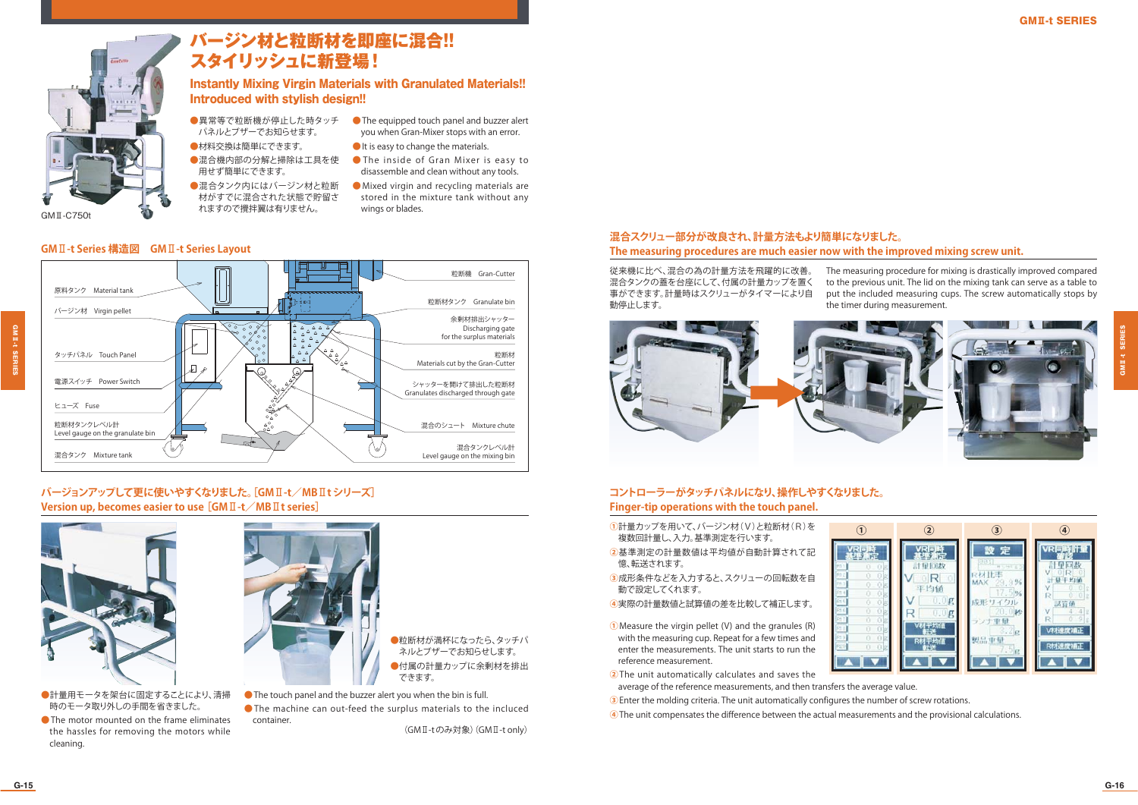

### バージン材と粒断材を即座に混合!! スタイリッシュに新登場!

### Instantly Mixing Virgin Materials with Granulated Materials!! Introduced with stylish design!!

wings or blades.

you when Gran-Mixer stops with an error. ●It is easy to change the materials. ● The inside of Gran Mixer is easy to disassemble and clean without any tools. ●Mixed virgin and recycling materials are stored in the mixture tank without any

●異常等で粒断機が停止した時タッチ ●The equipped touch panel and buzzer alert パネルとブザーでお知らせます。

●材料交換は簡単にできます。 ●混合機内部の分解と掃除は工具を使 用せず簡単にできます。

●混合タンク内にはバージン材と粒断 材がすでに混合された状態で貯留されますので攪拌翼は有りません。

### **GM**Ⅱ**-t Series 構造図 GM**Ⅱ**-t Series Layout**



### **バージョンアップして更に使いやすくなりました。[GM**Ⅱ**-t/MB**Ⅱ**t シリーズ]Version up, becomes easier to use [GM**Ⅱ**-t/MB**Ⅱ**t series]**



- ●計量用モータを架台に固定することにより、清掃 時のモータ取り外しの手間を省きました。
- ●The motor mounted on the frame eliminates the hassles for removing the motors while cleaning.



- ●粒断材が満杯になったら、タッチパ ネルとブザーでお知らせします。 ●付属の計量カップに余剰材を排出 できます。
- ●The touch panel and the buzzer alert you when the bin is full.
- The machine can out-feed the surplus materials to the incluced container.

(GMⅡ-t のみ対象)(GMⅡ-t only)

### **混合スクリュー部分が改良され、計量方法もより簡単になりました。The measuring procedures are much easier now with the improved mixing screw unit.**

従来機に比べ、混合の為の計量方法を飛躍的に改善。 混合タンクの蓋を台座にして、付属の計量カップを置く 事ができます。計量時はスクリューがタイマーにより自動停止します。

The measuring procedure for mixing is drastically improved compared to the previous unit. The lid on the mixing tank can serve as a table to put the included measuring cups. The screw automatically stops by the timer during measurement.



### **コントローラーがタッチパネルになり、操作しやすくなりました。Finger-tip operations with the touch panel.**

- **①**計量カップを用いて、バージン材(V)と粒断材(R)を複数回計量し、入力。基準測定を行います。
- **②**基準測定の計量数値は平均値が自動計算されて記憶、転送されます。
- **③**成形条件などを入力すると、スクリューの回転数を自動で設定してくれます。
- **④**実際の計量数値と試算値の差を比較して補正します。
- **①**Measure the virgin pellet (V) and the granules (R) with the measuring cup. Repeat for a few times and enter the measurements. The unit starts to run the reference measurement.
- **②**The unit automatically calculates and saves the
- average of the reference measurements, and then transfers the average value.
- **③**Enter the molding criteria. The unit automatically configures the number of screw rotations.
- **④**The unit compensates the difference between the actual measurements and the provisional calculations.



GMⅡ-t SERIES

**III.1 SEF** 

GMⅡ-t SERIES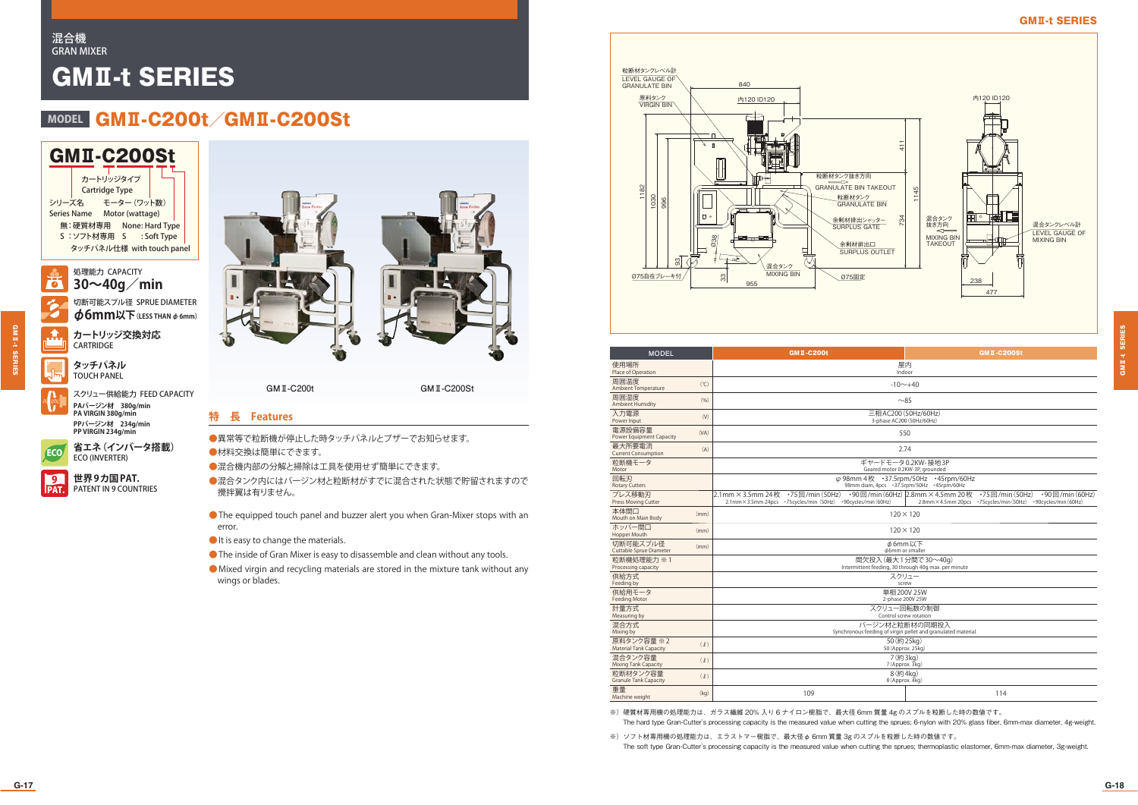#### 混合機GRAN MIXER

# GMⅡ-t SERIES

## MODEL GMI-C200t GMI-C200St

GMⅡ-C200Stシリーズ名 モーター (ワット数) Series Name Motor (wattage) 無:硬質材専用 None: Hard Type S : ソフト材専用 S : Soft Type タッチパネル仕様 with touch panel カートリッジタイプCartridge Type

処理能力 CAPACITY75 **30~40g/min**

> 切断可能スプル径 SPRUE DIAMETER φ**6mm以下(LESS THAN** φ **6mm) カートリッジ交換対応**



GMⅡ-t SERIES

GM II-t SERIES

**CARTRIDGE タッチパネル**TOUCH PANEL

 $\mathbf{v}$ スクリュー供給能力 FEED CAPACITY **PAバージン材 380g/min PA VIRGIN 380g/min PPバージン材 234g/min PP VIRGIN 234g/min**



**世界 9カ国 PAT.** PAT. PATENT IN 9 COUNTRIES  $\overline{9}$ 



**GMⅡ-C200t GMⅡ-C200St**

### **特 長 Features**

●異常等で粒断機が停止した時タッチパネルとブザーでお知らせます。 ●材料交換は簡単にできます。

●混合機内部の分解と掃除は工具を使用せず簡単にできます。

●混合タンク内にはバージン材と粒断材がすでに混合された状態で貯留されますので 攪拌翼は有りません。

●The equipped touch panel and buzzer alert you when Gran-Mixer stops with an error.

- It is easy to change the materials.
- ●The inside of Gran Mixer is easy to disassemble and clean without any tools.
- ●Mixed virgin and recycling materials are stored in the mixture tank without any wings or blades.



| <b>MODEL</b>                                |      | <b>GMII-C200t</b><br><b>GMT-C200St</b>                                                           |                                                                                                                                                                     |  |
|---------------------------------------------|------|--------------------------------------------------------------------------------------------------|---------------------------------------------------------------------------------------------------------------------------------------------------------------------|--|
| 使用場所<br>Place of Operation                  |      | 屋内<br>Indoor                                                                                     |                                                                                                                                                                     |  |
| 周囲温度<br>Ambient Temperature                 | (°C) | $-10 \sim +40$                                                                                   |                                                                                                                                                                     |  |
| 周囲湿度<br><b>Ambient Humidity</b>             | (96) | ~285                                                                                             |                                                                                                                                                                     |  |
| 入力電源<br>Power Input                         | (V)  | 三相 AC200 (50Hz/60Hz)<br>3-phase AC200 (50Hz/60Hz)                                                |                                                                                                                                                                     |  |
| 電源設備容量<br>Power Equipment Capacity          | (VA) | 550                                                                                              |                                                                                                                                                                     |  |
| 最大所要電流<br><b>Current Consumption</b>        | (A)  | 2.74                                                                                             |                                                                                                                                                                     |  |
| 粒断機モータ<br>Motor                             |      | ギヤードモータ0.2KW-接地3P<br>Geared motor 0.2KW-3P, grounded                                             |                                                                                                                                                                     |  |
| 回転刃<br><b>Rotary Cutters</b>                |      | φ 98mm 4枚 · 37.5rpm/50Hz · 45rpm/60Hz<br>98mm diam, 4pcs · 37.5rpm/50Hz · 45rpm/60Hz             |                                                                                                                                                                     |  |
| プレス移動刃<br>Press Moving Cutter               |      | 2.1mm × 3.5mm 24枚 ·75回/min (50Hz)<br>2.1mm×3.5mm 24pcs ·75cycles/min (50Hz) ·90cycles/min (60Hz) | •90回/min (60Hz) 2.8mm $\times$ 4.5mm 20枚 •75回/min (50Hz)<br>$\cdot$ 90 $\boxdot$ /min $(60Hz)$<br>2.8mm × 4.5mm 20pcs · 75 cycles/min (50Hz) · 90 cycles/min (60Hz) |  |
| 本体間口<br>Mouth on Main Body                  | (mm) | $120 \times 120$                                                                                 |                                                                                                                                                                     |  |
| ホッパー間口<br>Hopper Mouth                      | (mm) | $120 \times 120$                                                                                 |                                                                                                                                                                     |  |
| 切断可能スプル径<br>Cuttable Sprue Diameter         | (mm) | p6mm以下<br>¢6mm or smaller                                                                        |                                                                                                                                                                     |  |
| 粒断機処理能力 ※1<br>Processing capacity           |      | 間欠投入 (最大1分間で30~40a)<br>Intermittent feeding, 30 through 40g max. per minute                      |                                                                                                                                                                     |  |
| 供給方式<br>Feeding by                          |      | スクリュー<br>screw                                                                                   |                                                                                                                                                                     |  |
| 供給用モータ<br><b>Feeding Motor</b>              |      | 単相200V 25W<br>2-phase 200V 25W                                                                   |                                                                                                                                                                     |  |
| 計量方式<br>Measuring by                        |      | スクリュー回転数の制御<br>Control screw rotation                                                            |                                                                                                                                                                     |  |
| 混合方式<br>Mixing by                           |      | バージン材と粒断材の同期投入<br>Synchronous feeding of virgin pellet and granulated material.                  |                                                                                                                                                                     |  |
| 原料タンク容量 ※2<br><b>Material Tank Capacity</b> | (2)  | 50 (約 25kg)<br>50 (Approx. 25kg)                                                                 |                                                                                                                                                                     |  |
| 混合タンク容量<br>Mixing Tank Capacity             | (2)  | 7 (約 3kg)<br>7 (Approx. 3kg)                                                                     |                                                                                                                                                                     |  |
| 粒断材タンク容量<br><b>Granule Tank Capacity</b>    | (2)  | 8 (約4kg)<br>8 (Approx. 4kg)                                                                      |                                                                                                                                                                     |  |
| 重量<br>Machine weight                        | (kq) | 109                                                                                              | 114                                                                                                                                                                 |  |

※)硬質材専用機の処理能力は、ガラス繊維 20% 入り 6 ナイロン樹脂で、最大径 6mm 質量 4g のスプルを粒断した時の数値です。

The hard type Gran-Cutter's processing capacity is the measured value when cutting the sprues; 6-nylon with 20% glass fiber, 6mm-max diameter, 4g-weight.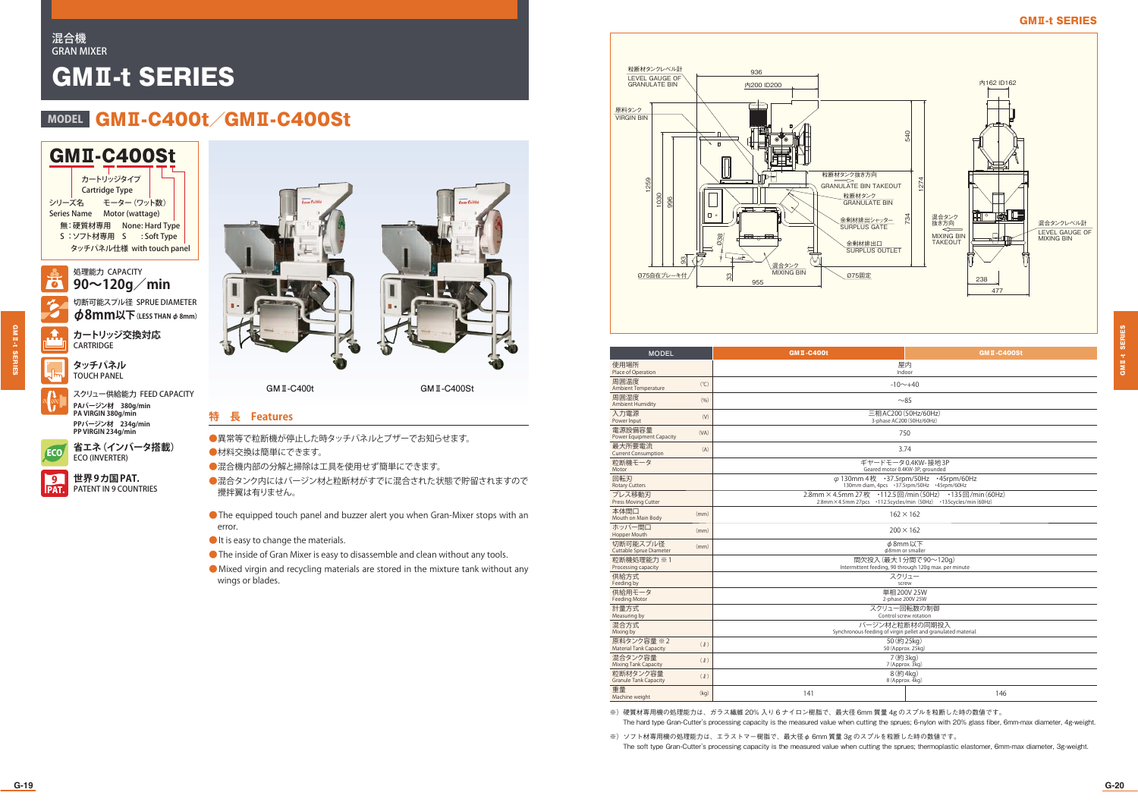#### 混合機GRAN MIXER

# GMⅡ-t SERIES

## MODEL GMI-C400t GMI-C400St

GMⅡ-C400Stモーター(ワット数)Series Name Motor (wattage) シリーズ名無: 硬質材専用 None: Hard Type S : ソフト材専用 S : Soft Type タッチパネル仕様 with touch panel カートリッジタイプCartridge Type

処理能力 CAPACITY75 **90~120g/min** 切断可能スプル径 SPRUE DIAMETER

φ**8mm以下(LESS THAN** φ **8mm) カートリッジ交換対応CARTRIDGE** 

**タッチパネル**TOUCH PANEL

 $\mathbf{v}$ スクリュー供給能力 FEED CAPACITY **PAバージン材 380g/min PA VIRGIN 380g/min PPバージン材 234g/min PP VIRGIN 234g/min**

**省エネ(インバータ搭載)**

ECO 省エネ (インバ<br>ECO (INVERTER)

 $\hat{A}$ 

GMⅡ-t SERIES

GM II-t SERIES

**世界 9カ国 PAT.** PAT. PATENT IN 9 COUNTRIES  $\overline{9}$ 





**GMⅡ-C400t GMⅡ-C400St**

重量

### **特 長 Features**

●異常等で粒断機が停止した時タッチパネルとブザーでお知らせます。 ●材料交換は簡単にできます。

●混合機内部の分解と掃除は工具を使用せず簡単にできます。

●混合タンク内にはバージン材と粒断材がすでに混合された状態で貯留されますので 攪拌翼は有りません。

●The equipped touch panel and buzzer alert you when Gran-Mixer stops with an error.

- It is easy to change the materials.
- ●The inside of Gran Mixer is easy to disassemble and clean without any tools.
- ●Mixed virgin and recycling materials are stored in the mixture tank without any wings or blades.



| <b>MODEL</b>                                                           |                                                      | <b>GMI-C400t</b>                                                                                                           | <b>GMT-C400St</b>                                 |  |
|------------------------------------------------------------------------|------------------------------------------------------|----------------------------------------------------------------------------------------------------------------------------|---------------------------------------------------|--|
| 使用場所<br>Place of Operation                                             |                                                      | 屋内<br>Indoor                                                                                                               |                                                   |  |
| 周囲温度<br>Ambient Temperature                                            | (°C)                                                 |                                                                                                                            | $-10 - +40$                                       |  |
| 周囲湿度<br><b>Ambient Humidity</b>                                        | (96)                                                 | ~285                                                                                                                       |                                                   |  |
| 入力電源<br>Power Input                                                    | (V)                                                  |                                                                                                                            | 三相 AC200 (50Hz/60Hz)<br>3-phase AC200 (50Hz/60Hz) |  |
| 電源設備容量<br>Power Equipment Capacity                                     | (VA)                                                 |                                                                                                                            | 750                                               |  |
| 最大所要電流<br><b>Current Consumption</b>                                   | (A)<br>3.74                                          |                                                                                                                            |                                                   |  |
| 粒断機モータ<br>Motor                                                        | ギヤードモータ0.4KW-接地3P<br>Geared motor 0.4KW-3P, grounded |                                                                                                                            |                                                   |  |
| 回転刃<br><b>Rotary Cutters</b>                                           |                                                      | φ 130mm 4枚 · 37.5rpm/50Hz · 45rpm/60Hz<br>130mm diam, 4pcs · 37.5rpm/50Hz · 45rpm/60Hz                                     |                                                   |  |
| プレス移動刃<br>Press Moving Cutter                                          |                                                      | 2.8mm × 4.5mm 27枚 · 112.5回/min (50Hz) · 135回/min (60Hz)<br>2.8mm×4.5mm 27pcs ·112.5cycles/min (50Hz) ·135cycles/min (60Hz) |                                                   |  |
| 本体間口<br>Mouth on Main Body                                             | (mm)                                                 | $162 \times 162$                                                                                                           |                                                   |  |
| ホッパー間口<br>Hopper Mouth                                                 | (mm)                                                 | $200 \times 162$                                                                                                           |                                                   |  |
| 切断可能スプル径<br>Cuttable Sprue Diameter                                    | (mm)                                                 | φ8mm以下<br>φ8mm or smaller                                                                                                  |                                                   |  |
| 粒断機処理能力 ※1<br>Processing capacity                                      |                                                      | 間欠投入(最大1分間で90~120g)<br>Intermittent feeding, 90 through 120g max. per minute                                               |                                                   |  |
| 供給方式<br>Feeding by                                                     |                                                      | スクリュー<br>screw                                                                                                             |                                                   |  |
| 供給用モータ<br><b>Feeding Motor</b>                                         |                                                      | 単相200V 25W<br>2-phase 200V 25W                                                                                             |                                                   |  |
| 計量方式<br>Measuring by                                                   |                                                      | スクリュー回転数の制御<br>Control screw rotation                                                                                      |                                                   |  |
| 混合方式<br>Mixing by                                                      |                                                      | バージン材と粒断材の同期投入<br>Synchronous feeding of virgin pellet and granulated material.                                            |                                                   |  |
| 原料タンク容量※2<br><b>Material Tank Capacity</b>                             | (2)                                                  | 50 (約 25kg)<br>50 (Approx. 25kg)                                                                                           |                                                   |  |
| 混合タンク容量<br>7 (約 3kg)<br>(2)<br>7 (Approx, 3kg)<br>Mixing Tank Capacity |                                                      |                                                                                                                            |                                                   |  |

s⊞a≘ (kg) (kg) 146<br>Machine weight (kg) ※)硬質材専用機の処理能力は、ガラス繊維 20% 入り 6 ナイロン樹脂で、最大径 6mm 質量 4g のスプルを粒断した時の数値です。

粒断材タンク容量 (ℓ) 8(約4kg) 8<br>Granule Tank Capacity (ℓ) 8(Approx. 4kg)

The hard type Gran-Cutter's processing capacity is the measured value when cutting the sprues; 6-nylon with 20% glass fiber, 6mm-max diameter, 4g-weight.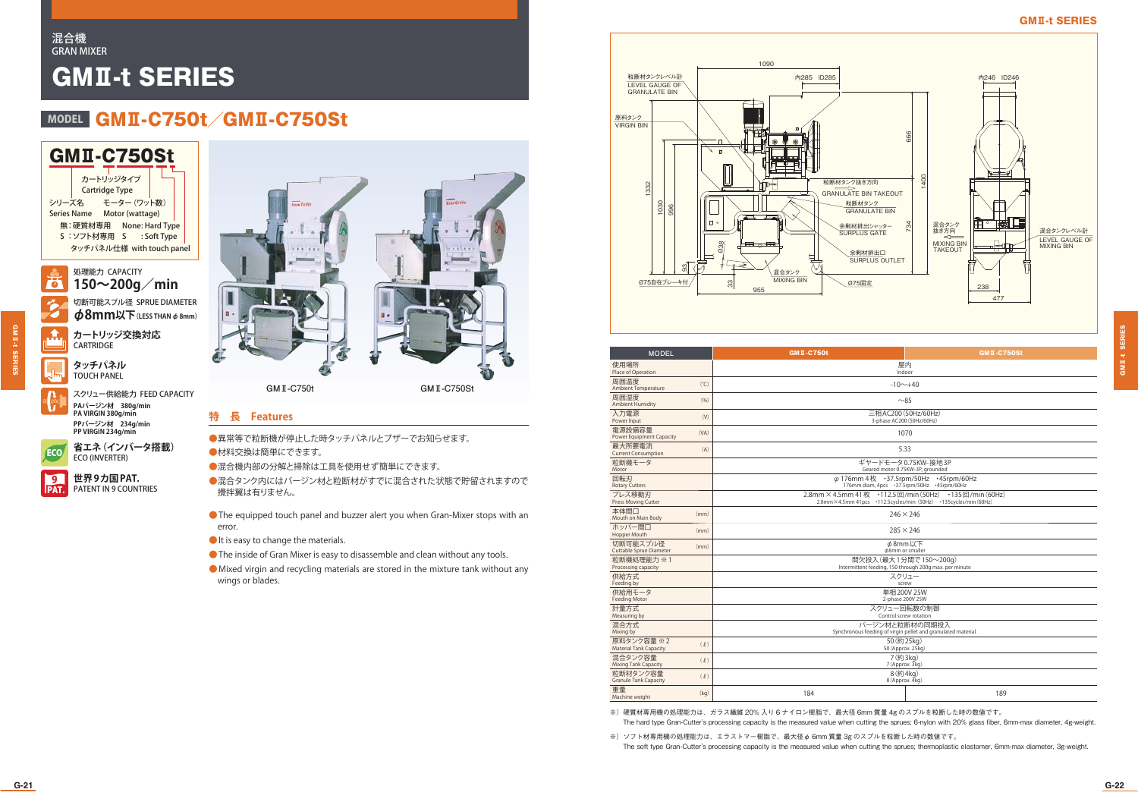### 混合機GRAN MIXER

# GMⅡ-t SERIES

## MODEL GMI-C750t GMI-C750St

GMⅡ-C750Stモーター(ワット数)Series Name Motor (wattage) シリーズ名無: 硬質材専用 None: Hard Type S : ソフト材専用 S : Soft Type タッチパネル仕様 with touch panel カートリッジタイプCartridge Type

処理能力 CAPACITY75 **150~200g/min** 切断可能スプル径 SPRUE DIAMETER

φ**8mm以下(LESS THAN** φ **8mm) カートリッジ交換対応**

 $\hat{A}$ 

GMⅡ-t SERIES

**GMI-t SERIES** 

**タッチパネル**TOUCH PANEL

CARTRIDGE

 $\mathbf{v}$ スクリュー供給能力 FEED CAPACITY **PAバージン材 380g/min PA VIRGIN 380g/min PPバージン材 234g/min PP VIRGIN 234g/min**



**世界 9カ国 PAT.** PAT. PATENT IN 9 COUNTRIES  $\overline{9}$ 



### **特 長 Features**

●異常等で粒断機が停止した時タッチパネルとブザーでお知らせます。 ●材料交換は簡単にできます。

●混合機内部の分解と掃除は工具を使用せず簡単にできます。

- ●混合タンク内にはバージン材と粒断材がすでに混合された状態で貯留されますので 攪拌翼は有りません。
- ●The equipped touch panel and buzzer alert you when Gran-Mixer stops with an error.
- It is easy to change the materials.
- ●The inside of Gran Mixer is easy to disassemble and clean without any tools.
- ●Mixed virgin and recycling materials are stored in the mixture tank without any wings or blades.



| <b>MODEL</b>                                       | <b>GMI-C750t</b>                                                                                                           | <b>GMT-C750St</b> |  |
|----------------------------------------------------|----------------------------------------------------------------------------------------------------------------------------|-------------------|--|
| 使用場所<br>Place of Operation                         | 屋内<br>Indoor                                                                                                               |                   |  |
| 周囲温度<br>(°C)<br><b>Ambient Temperature</b>         | $-10$ ~+40                                                                                                                 |                   |  |
| 周囲湿度<br>(96)<br><b>Ambient Humidity</b>            | ~285                                                                                                                       |                   |  |
| 入力雷源<br>(V)<br>Power Input                         | 三相 AC200 (50Hz/60Hz)<br>3-phase AC200 (50Hz/60Hz)                                                                          |                   |  |
| 電源設備容量<br>(VA)<br>Power Equipment Capacity         | 1070                                                                                                                       |                   |  |
| 最大所要電流<br>(A)<br><b>Current Consumption</b>        | 5.33                                                                                                                       |                   |  |
| 粒断機モータ<br>Motor                                    | ギヤードモータ0.75KW-接地3P<br>Geared motor 0.75KW-3P, grounded                                                                     |                   |  |
| 回転刃<br><b>Rotary Cutters</b>                       | φ 176mm 4枚 · 37.5rpm/50Hz<br>+45rpm/60Hz<br>176mm diam, 4pcs · 37.5rpm/50Hz · 45rpm/60Hz                                   |                   |  |
| プレス移動刃<br>Press Moving Cutter                      | 2.8mm × 4.5mm 41枚 · 112.5回/min (50Hz) · 135回/min (60Hz)<br>2.8mm×4.5mm 41pcs ·112.5cycles/min (50Hz) ·135cycles/min (60Hz) |                   |  |
| 本体間口<br>(mm)<br>Mouth on Main Body                 | $246 \times 246$                                                                                                           |                   |  |
| ホッパー間口<br>(mm)<br>Hopper Mouth                     | $285 \times 246$                                                                                                           |                   |  |
| 切断可能スプル径<br>(mm)<br>Cuttable Sprue Diameter        | φ8mm以下<br>φ8mm or smaller                                                                                                  |                   |  |
| 粒断機如理能力 ※1<br>Processing capacity                  | 間欠投入 (最大1分間で150~200g)<br>Intermittent feeding, 150 through 200g max. per minute                                            |                   |  |
| 供給方式<br>Feeding by                                 | スクリュー<br>screw                                                                                                             |                   |  |
| 供給用モータ<br><b>Feeding Motor</b>                     | 単相200V 25W<br>2-phase 200V 25W                                                                                             |                   |  |
| 計量方式<br>Measuring by                               | スクリュー回転数の制御<br>Control screw rotation                                                                                      |                   |  |
| 混合方式<br>Mixing by                                  | バージン材と粒断材の同期投入<br>Synchronous feeding of virgin pellet and granulated material.                                            |                   |  |
| 原料タンク容量 ※2<br>(2)<br><b>Material Tank Capacity</b> | 50 (約 25kg)<br>50 (Approx. 25kg)                                                                                           |                   |  |
| 混合タンク容量<br>(2)<br>Mixing Tank Capacity             | 7 (約 3kg)<br>7 (Approx. 3kg)                                                                                               |                   |  |
| 粒断材タンク容量<br>(2)<br><b>Granule Tank Capacity</b>    | 8 (約4kg)<br>8 (Approx. 4kg)                                                                                                |                   |  |
| 重量<br>(kq)<br>Machine weight                       | 184                                                                                                                        | 189               |  |

※)硬質材専用機の処理能力は、ガラス繊維 20% 入り 6 ナイロン樹脂で、最大径 6mm 質量 4g のスプルを粒断した時の数値です。

The hard type Gran-Cutter's processing capacity is the measured value when cutting the sprues; 6-nylon with 20% glass fiber, 6mm-max diameter, 4g-weight.